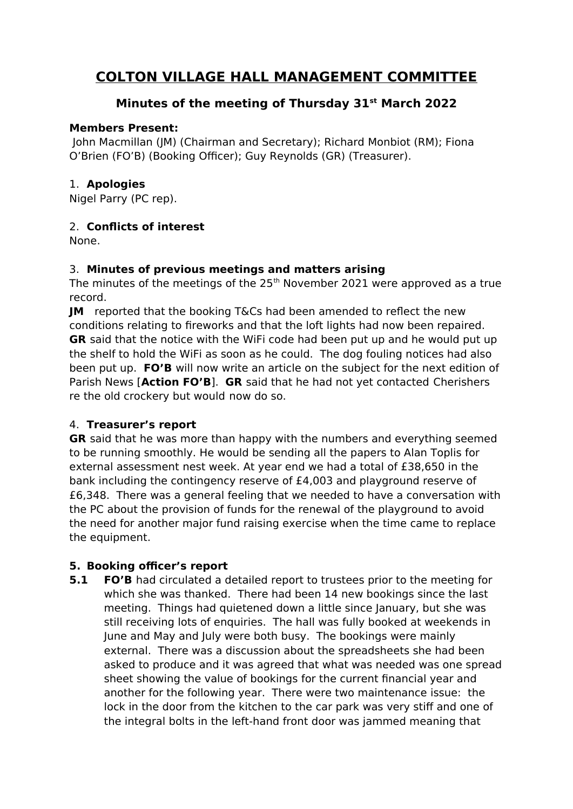# **COLTON VILLAGE HALL MANAGEMENT COMMITTEE**

### **Minutes of the meeting of Thursday 31st March 2022**

#### **Members Present:**

 John Macmillan (JM) (Chairman and Secretary); Richard Monbiot (RM); Fiona O'Brien (FO'B) (Booking Officer); Guy Reynolds (GR) (Treasurer).

#### 1. **Apologies**

Nigel Parry (PC rep).

#### 2. **Conflicts of interest**

None.

#### 3. **Minutes of previous meetings and matters arising**

The minutes of the meetings of the  $25<sup>th</sup>$  November 2021 were approved as a true record.

**JM** reported that the booking T&Cs had been amended to reflect the new conditions relating to fireworks and that the loft lights had now been repaired. **GR** said that the notice with the WiFi code had been put up and he would put up the shelf to hold the WiFi as soon as he could. The dog fouling notices had also been put up. **FO'B** will now write an article on the subject for the next edition of Parish News [**Action FO'B**]. **GR** said that he had not yet contacted Cherishers re the old crockery but would now do so.

#### 4. **Treasurer's report**

**GR** said that he was more than happy with the numbers and everything seemed to be running smoothly. He would be sending all the papers to Alan Toplis for external assessment nest week. At year end we had a total of £38,650 in the bank including the contingency reserve of £4,003 and playground reserve of £6,348. There was a general feeling that we needed to have a conversation with the PC about the provision of funds for the renewal of the playground to avoid the need for another major fund raising exercise when the time came to replace the equipment.

#### **5. Booking officer's report**

**5.1 FO'B** had circulated a detailed report to trustees prior to the meeting for which she was thanked. There had been 14 new bookings since the last meeting. Things had quietened down a little since January, but she was still receiving lots of enquiries. The hall was fully booked at weekends in June and May and July were both busy. The bookings were mainly external. There was a discussion about the spreadsheets she had been asked to produce and it was agreed that what was needed was one spread sheet showing the value of bookings for the current financial year and another for the following year. There were two maintenance issue: the lock in the door from the kitchen to the car park was very stiff and one of the integral bolts in the left-hand front door was jammed meaning that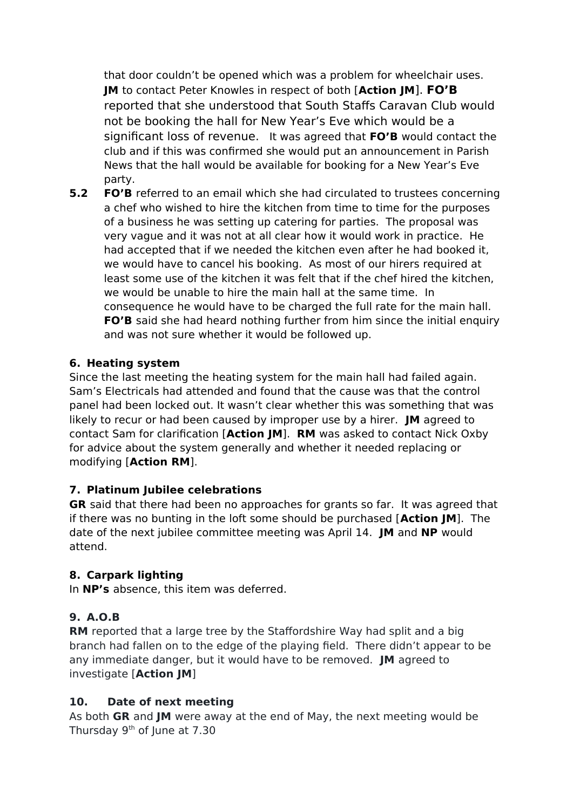that door couldn't be opened which was a problem for wheelchair uses. **JM** to contact Peter Knowles in respect of both [**Action JM**]. **FO'B**  reported that she understood that South Staffs Caravan Club would not be booking the hall for New Year's Eve which would be a significant loss of revenue. It was agreed that **FO'B** would contact the club and if this was confirmed she would put an announcement in Parish News that the hall would be available for booking for a New Year's Eve party.

**5.2 FO'B** referred to an email which she had circulated to trustees concerning a chef who wished to hire the kitchen from time to time for the purposes of a business he was setting up catering for parties. The proposal was very vague and it was not at all clear how it would work in practice. He had accepted that if we needed the kitchen even after he had booked it, we would have to cancel his booking. As most of our hirers required at least some use of the kitchen it was felt that if the chef hired the kitchen, we would be unable to hire the main hall at the same time. In consequence he would have to be charged the full rate for the main hall. **FO'B** said she had heard nothing further from him since the initial enquiry and was not sure whether it would be followed up.

#### **6. Heating system**

Since the last meeting the heating system for the main hall had failed again. Sam's Electricals had attended and found that the cause was that the control panel had been locked out. It wasn't clear whether this was something that was likely to recur or had been caused by improper use by a hirer. **JM** agreed to contact Sam for clarification [**Action JM**]. **RM** was asked to contact Nick Oxby for advice about the system generally and whether it needed replacing or modifying [**Action RM**].

#### **7. Platinum Jubilee celebrations**

**GR** said that there had been no approaches for grants so far. It was agreed that if there was no bunting in the loft some should be purchased [**Action JM**]. The date of the next jubilee committee meeting was April 14. **JM** and **NP** would attend.

#### **8. Carpark lighting**

In **NP's** absence, this item was deferred.

## **9. A.O.B**

**RM** reported that a large tree by the Staffordshire Way had split and a big branch had fallen on to the edge of the playing field. There didn't appear to be any immediate danger, but it would have to be removed. **JM** agreed to investigate [**Action JM**]

#### **10. Date of next meeting**

As both **GR** and **JM** were away at the end of May, the next meeting would be Thursday  $9<sup>th</sup>$  of June at 7.30